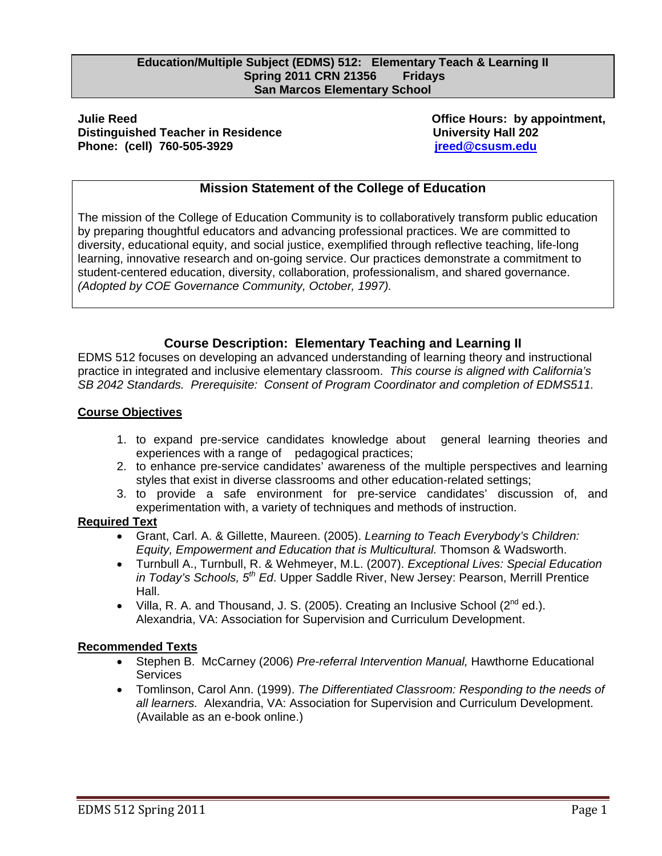#### **Education/Multiple Subject (EDMS) 512: Elementary Teach & Learning II Spring 2011 CRN 21356 Fridays San Marcos Elementary School**

#### **Phone: (cell) 760-505-3929 jreed@csusm.edu Julie Reed Office Hours: by appointment, Distinguished Teacher in Residence Manual Construction Construction University Hall 202**

# **Mission Statement of the College of Education**

The mission of the College of Education Community is to collaboratively transform public education by preparing thoughtful educators and advancing professional practices. We are committed to diversity, educational equity, and social justice, exemplified through reflective teaching, life-long learning, innovative research and on-going service. Our practices demonstrate a commitment to student-centered education, diversity, collaboration, professionalism, and shared governance. *(Adopted by COE Governance Community, October, 1997).* 

# **Course Description: Elementary Teaching and Learning II**

EDMS 512 focuses on developing an advanced understanding of learning theory and instructional practice in integrated and inclusive elementary classroom. *This course is aligned with California's SB 2042 Standards. Prerequisite: Consent of Program Coordinator and completion of EDMS511.* 

# **Course Objectives**

- experiences with a range of pedagogical practices; 1. to expand pre-service candidates knowledge about general learning theories and
- 2. to enhance pre-service candidates' awareness of the multiple perspectives and learning styles that exist in diverse classrooms and other education-related settings;
- 3. to provide a safe environment for pre-service candidates' discussion of, and experimentation with, a variety of techniques and methods of instruction.

# **Required Text**

- Grant, Carl. A. & Gillette, Maureen. (2005). *Learning to Teach Everybody's Children: Equity, Empowerment and Education that is Multicultural.* Thomson & Wadsworth.
- Turnbull A., Turnbull, R. & Wehmeyer, M.L. (2007). *Exceptional Lives: Special Education in Today's Schools, 5th Ed*. Upper Saddle River, New Jersey: Pearson, Merrill Prentice Hall.
- Villa, R. A. and Thousand, J. S. (2005). Creating an Inclusive School ( $2^{nd}$  ed.). Alexandria, VA: Association for Supervision and Curriculum Development.

# **Recommended Texts**

- Stephen B. McCarney (2006) *Pre-referral Intervention Manual,* Hawthorne Educational **Services**
- Tomlinson, Carol Ann. (1999). *The Differentiated Classroom: Responding to the needs of all learners.* Alexandria, VA: Association for Supervision and Curriculum Development. (Available as an e-book online.)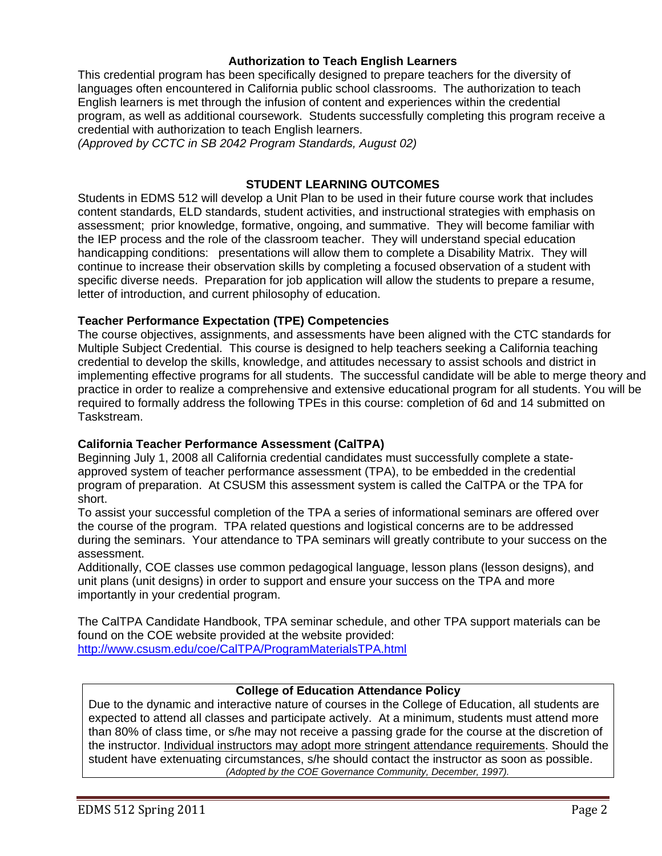# **Authorization to Teach English Learners**

This credential program has been specifically designed to prepare teachers for the diversity of languages often encountered in California public school classrooms. The authorization to teach English learners is met through the infusion of content and experiences within the credential program, as well as additional coursework. Students successfully completing this program receive a credential with authorization to teach English learners.

*(Approved by CCTC in SB 2042 Program Standards, August 02)* 

# **STUDENT LEARNING OUTCOMES**

Students in EDMS 512 will develop a Unit Plan to be used in their future course work that includes content standards, ELD standards, student activities, and instructional strategies with emphasis on assessment; prior knowledge, formative, ongoing, and summative. They will become familiar with the IEP process and the role of the classroom teacher. They will understand special education handicapping conditions: presentations will allow them to complete a Disability Matrix. They will continue to increase their observation skills by completing a focused observation of a student with specific diverse needs. Preparation for job application will allow the students to prepare a resume, letter of introduction, and current philosophy of education.

## **Teacher Performance Expectation (TPE) Competencies**

The course objectives, assignments, and assessments have been aligned with the CTC standards for Multiple Subject Credential. This course is designed to help teachers seeking a California teaching credential to develop the skills, knowledge, and attitudes necessary to assist schools and district in implementing effective programs for all students. The successful candidate will be able to merge theory and practice in order to realize a comprehensive and extensive educational program for all students. You will be required to formally address the following TPEs in this course: completion of 6d and 14 submitted on Taskstream.

# **California Teacher Performance Assessment (CalTPA)**

Beginning July 1, 2008 all California credential candidates must successfully complete a stateapproved system of teacher performance assessment (TPA), to be embedded in the credential program of preparation. At CSUSM this assessment system is called the CalTPA or the TPA for short.

To assist your successful completion of the TPA a series of informational seminars are offered over the course of the program. TPA related questions and logistical concerns are to be addressed during the seminars. Your attendance to TPA seminars will greatly contribute to your success on the assessment.

Additionally, COE classes use common pedagogical language, lesson plans (lesson designs), and unit plans (unit designs) in order to support and ensure your success on the TPA and more importantly in your credential program.

 http://www.csusm.edu/coe/CalTPA/ProgramMaterialsTPA.html The CalTPA Candidate Handbook, TPA seminar schedule, and other TPA support materials can be found on the COE website provided at the website provided:

## **College of Education Attendance Policy**

 student have extenuating circumstances, s/he should contact the instructor as soon as possible. Due to the dynamic and interactive nature of courses in the College of Education, all students are expected to attend all classes and participate actively. At a minimum, students must attend more than 80% of class time, or s/he may not receive a passing grade for the course at the discretion of the instructor. Individual instructors may adopt more stringent attendance requirements. Should the *(Adopted by the COE Governance Community, December, 1997).*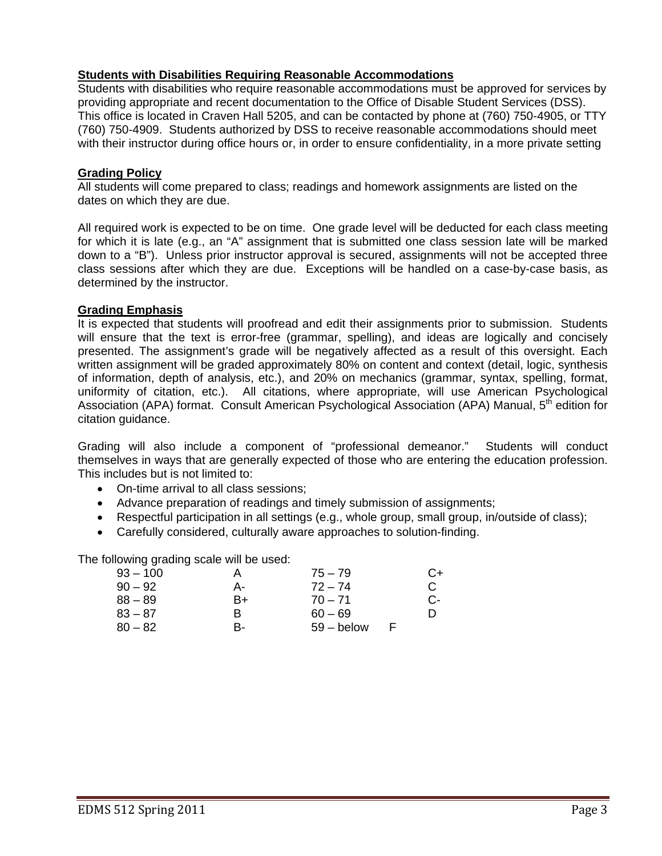# **Students with Disabilities Requiring Reasonable Accommodations**

Students with disabilities who require reasonable accommodations must be approved for services by providing appropriate and recent documentation to the Office of Disable Student Services (DSS). This office is located in Craven Hall 5205, and can be contacted by phone at (760) 750-4905, or TTY (760) 750-4909. Students authorized by DSS to receive reasonable accommodations should meet with their instructor during office hours or, in order to ensure confidentiality, in a more private setting

# **Grading Policy**

All students will come prepared to class; readings and homework assignments are listed on the dates on which they are due.

All required work is expected to be on time. One grade level will be deducted for each class meeting for which it is late (e.g., an "A" assignment that is submitted one class session late will be marked down to a "B"). Unless prior instructor approval is secured, assignments will not be accepted three class sessions after which they are due. Exceptions will be handled on a case-by-case basis, as determined by the instructor.

# **Grading Emphasis**

It is expected that students will proofread and edit their assignments prior to submission. Students will ensure that the text is error-free (grammar, spelling), and ideas are logically and concisely presented. The assignment's grade will be negatively affected as a result of this oversight. Each written assignment will be graded approximately 80% on content and context (detail, logic, synthesis of information, depth of analysis, etc.), and 20% on mechanics (grammar, syntax, spelling, format, uniformity of citation, etc.). All citations, where appropriate, will use American Psychological Association (APA) format. Consult American Psychological Association (APA) Manual, 5<sup>th</sup> edition for citation guidance.

Grading will also include a component of "professional demeanor." Students will conduct themselves in ways that are generally expected of those who are entering the education profession. This includes but is not limited to:

- On-time arrival to all class sessions;
- Advance preparation of readings and timely submission of assignments;
- Respectful participation in all settings (e.g., whole group, small group, in/outside of class);
- Carefully considered, culturally aware approaches to solution-finding.

The following grading scale will be used:

| $93 - 100$ | A  | $75 - 79$    | C+ |
|------------|----|--------------|----|
| $90 - 92$  | А- | $72 - 74$    | C. |
| $88 - 89$  | B+ | $70 - 71$    | C- |
| $83 - 87$  | в  | $60 - 69$    | D  |
| $80 - 82$  | B- | $59 -$ below |    |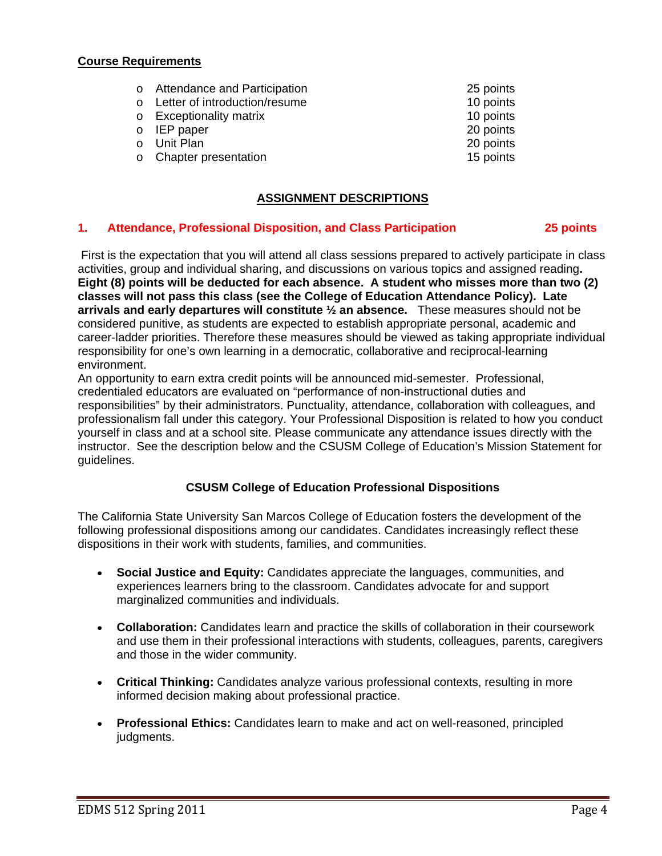## **Course Requirements**

| o Attendance and Participation  | 25 points |
|---------------------------------|-----------|
| o Letter of introduction/resume | 10 points |
| o Exceptionality matrix         | 10 points |
| $\circ$ IEP paper               | 20 points |
| o Unit Plan                     | 20 points |
| o Chapter presentation          | 15 points |
|                                 |           |

# **ASSIGNMENT DESCRIPTIONS**

#### $1.$ **1. Attendance, Professional Disposition, and Class Participation 25 points**

 First is the expectation that you will attend all class sessions prepared to actively participate in class activities, group and individual sharing, and discussions on various topics and assigned reading**. Eight (8) points will be deducted for each absence. A student who misses more than two (2) classes will not pass this class (see the College of Education Attendance Policy). Late arrivals and early departures will constitute ½ an absence.** These measures should not be considered punitive, as students are expected to establish appropriate personal, academic and career-ladder priorities. Therefore these measures should be viewed as taking appropriate individual responsibility for one's own learning in a democratic, collaborative and reciprocal-learning environment.

 guidelines. An opportunity to earn extra credit points will be announced mid-semester. Professional, credentialed educators are evaluated on "performance of non-instructional duties and responsibilities" by their administrators. Punctuality, attendance, collaboration with colleagues, and professionalism fall under this category. Your Professional Disposition is related to how you conduct yourself in class and at a school site. Please communicate any attendance issues directly with the instructor. See the description below and the CSUSM College of Education's Mission Statement for

# **CSUSM College of Education Professional Dispositions**

The California State University San Marcos College of Education fosters the development of the following professional dispositions among our candidates. Candidates increasingly reflect these dispositions in their work with students, families, and communities.

- **Social Justice and Equity:** Candidates appreciate the languages, communities, and experiences learners bring to the classroom. Candidates advocate for and support marginalized communities and individuals.
- **Collaboration:** Candidates learn and practice the skills of collaboration in their coursework and use them in their professional interactions with students, colleagues, parents, caregivers and those in the wider community.
- **Critical Thinking:** Candidates analyze various professional contexts, resulting in more informed decision making about professional practice.
- **Professional Ethics:** Candidates learn to make and act on well-reasoned, principled judgments.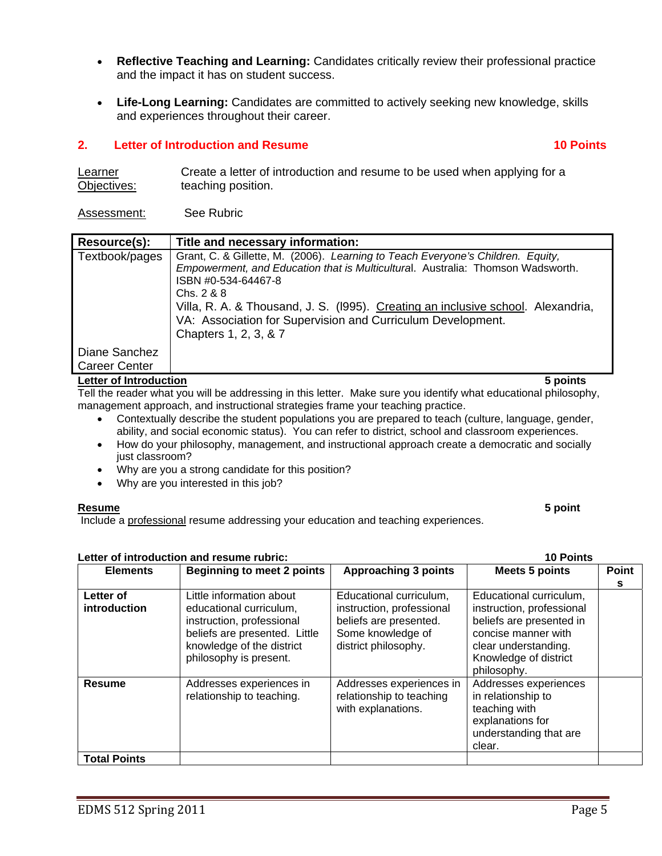- **Reflective Teaching and Learning:** Candidates critically review their professional practice and the impact it has on student success.
- **Life-Long Learning:** Candidates are committed to actively seeking new knowledge, skills and experiences throughout their career.

# **2. Letter of Introduction and Resume 10 Points 10 Points and Resume 10 Points in the 10 Points of August 2.0 Points**

| Learner     | Create a letter of introduction and resume to be used when applying for a |
|-------------|---------------------------------------------------------------------------|
| Objectives: | teaching position.                                                        |

### Assessment: See Rubric

| Resource(s):                          | Title and necessary information:                                                                                                                                                                                                                                                                                                                                                    |
|---------------------------------------|-------------------------------------------------------------------------------------------------------------------------------------------------------------------------------------------------------------------------------------------------------------------------------------------------------------------------------------------------------------------------------------|
| Textbook/pages                        | Grant, C. & Gillette, M. (2006). Learning to Teach Everyone's Children. Equity,<br>Empowerment, and Education that is Multicultural. Australia: Thomson Wadsworth.<br>ISBN #0-534-64467-8<br>Chs. 2 & 8<br>Villa, R. A. & Thousand, J. S. (1995). Creating an inclusive school. Alexandria,<br>VA: Association for Supervision and Curriculum Development.<br>Chapters 1, 2, 3, & 7 |
| Diane Sanchez<br><b>Career Center</b> |                                                                                                                                                                                                                                                                                                                                                                                     |
| <b>Letter of Introduction</b>         | 5 points                                                                                                                                                                                                                                                                                                                                                                            |

Tell the reader what you will be addressing in this letter. Make sure you identify what educational philosophy, management approach, and instructional strategies frame your teaching practice.

- Contextually describe the student populations you are prepared to teach (culture, language, gender, ability, and social economic status). You can refer to district, school and classroom experiences.
- How do your philosophy, management, and instructional approach create a democratic and socially just classroom?
- Why are you a strong candidate for this position?
- Why are you interested in this job?

#### **Resume Resume 5 point**

Include a professional resume addressing your education and teaching experiences.

| Letter of introduction and resume rubric: | <b>10 Points</b> |
|-------------------------------------------|------------------|
|                                           |                  |

| <b>Elements</b>           | <b>Beginning to meet 2 points</b>                                                                                                                                        | <b>Approaching 3 points</b>                                                                                                 | <b>Meets 5 points</b>                                                                                                                                                   | <b>Point</b> |
|---------------------------|--------------------------------------------------------------------------------------------------------------------------------------------------------------------------|-----------------------------------------------------------------------------------------------------------------------------|-------------------------------------------------------------------------------------------------------------------------------------------------------------------------|--------------|
|                           |                                                                                                                                                                          |                                                                                                                             |                                                                                                                                                                         | s            |
| Letter of<br>introduction | Little information about<br>educational curriculum,<br>instruction, professional<br>beliefs are presented. Little<br>knowledge of the district<br>philosophy is present. | Educational curriculum,<br>instruction, professional<br>beliefs are presented.<br>Some knowledge of<br>district philosophy. | Educational curriculum,<br>instruction, professional<br>beliefs are presented in<br>concise manner with<br>clear understanding.<br>Knowledge of district<br>philosophy. |              |
| <b>Resume</b>             | Addresses experiences in<br>relationship to teaching.                                                                                                                    | Addresses experiences in<br>relationship to teaching<br>with explanations.                                                  | Addresses experiences<br>in relationship to<br>teaching with<br>explanations for<br>understanding that are<br>clear.                                                    |              |
| <b>Total Points</b>       |                                                                                                                                                                          |                                                                                                                             |                                                                                                                                                                         |              |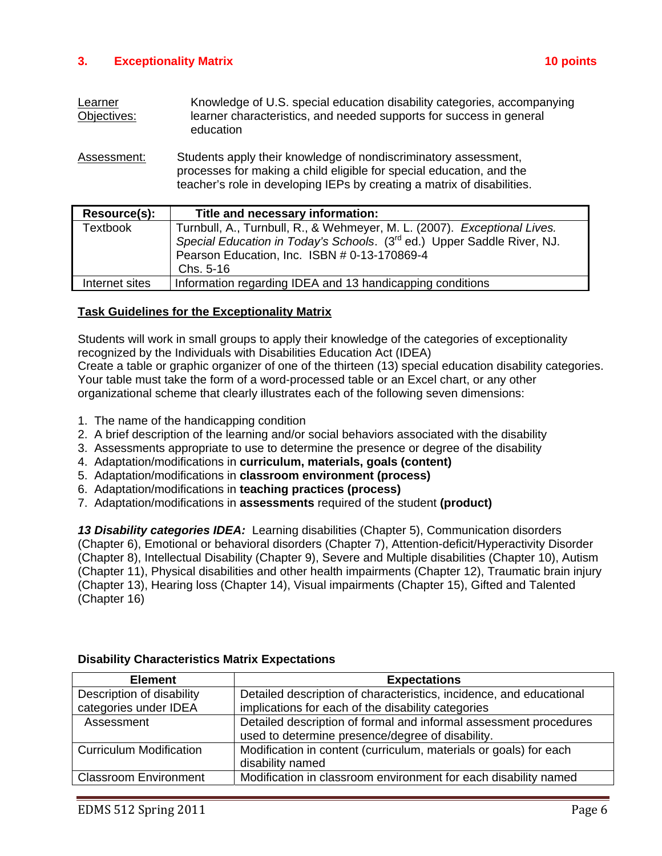# **3. Exceptionality Matrix 10 points**

| Learner     | Knowledge of U.S. special education disability categories, accompanying |
|-------------|-------------------------------------------------------------------------|
| Objectives: | learner characteristics, and needed supports for success in general     |
|             | education                                                               |

Assessment: Students apply their knowledge of nondiscriminatory assessment, processes for making a child eligible for special education, and the teacher's role in developing IEPs by creating a matrix of disabilities.

| Resource(s):    | Title and necessary information:                                                    |
|-----------------|-------------------------------------------------------------------------------------|
| <b>Textbook</b> | Turnbull, A., Turnbull, R., & Wehmeyer, M. L. (2007). Exceptional Lives.            |
|                 | Special Education in Today's Schools. (3 <sup>rd</sup> ed.) Upper Saddle River, NJ. |
|                 | Pearson Education, Inc. ISBN # 0-13-170869-4                                        |
|                 | Chs. 5-16                                                                           |
| Internet sites  | Information regarding IDEA and 13 handicapping conditions                           |
|                 |                                                                                     |

# **Task Guidelines for the Exceptionality Matrix**

Students will work in small groups to apply their knowledge of the categories of exceptionality recognized by the Individuals with Disabilities Education Act (IDEA)

Create a table or graphic organizer of one of the thirteen (13) special education disability categories. Your table must take the form of a word-processed table or an Excel chart, or any other organizational scheme that clearly illustrates each of the following seven dimensions:

- 1. The name of the handicapping condition
- 2. A brief description of the learning and/or social behaviors associated with the disability
- 3. Assessments appropriate to use to determine the presence or degree of the disability
- 4. Adaptation/modifications in **curriculum, materials, goals (content)**
- 5. Adaptation/modifications in **classroom environment (process)**
- 6. Adaptation/modifications in **teaching practices (process)**
- 7. Adaptation/modifications in **assessments** required of the student **(product)**

*13 Disability categories IDEA:* Learning disabilities (Chapter 5), Communication disorders (Chapter 6), Emotional or behavioral disorders (Chapter 7), Attention-deficit/Hyperactivity Disorder (Chapter 8), Intellectual Disability (Chapter 9), Severe and Multiple disabilities (Chapter 10), Autism (Chapter 11), Physical disabilities and other health impairments (Chapter 12), Traumatic brain injury (Chapter 13), Hearing loss (Chapter 14), Visual impairments (Chapter 15), Gifted and Talented (Chapter 16)

| <b>Element</b>                 | <b>Expectations</b>                                                 |
|--------------------------------|---------------------------------------------------------------------|
| Description of disability      | Detailed description of characteristics, incidence, and educational |
| categories under IDEA          | implications for each of the disability categories                  |
| Assessment                     | Detailed description of formal and informal assessment procedures   |
|                                | used to determine presence/degree of disability.                    |
| <b>Curriculum Modification</b> | Modification in content (curriculum, materials or goals) for each   |
|                                | disability named                                                    |
| <b>Classroom Environment</b>   | Modification in classroom environment for each disability named     |

# **Disability Characteristics Matrix Expectations**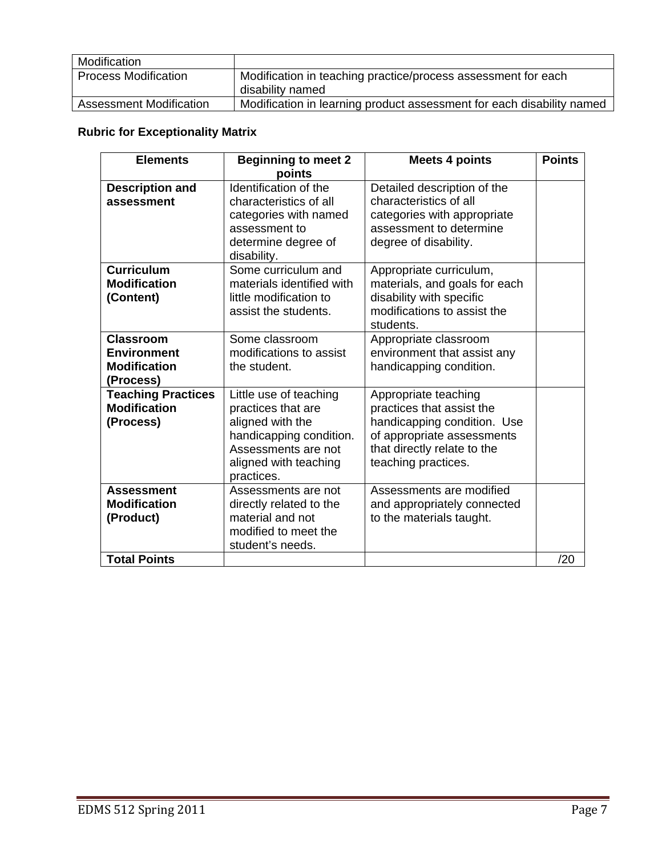| Modification                   |                                                                       |
|--------------------------------|-----------------------------------------------------------------------|
| <b>Process Modification</b>    | Modification in teaching practice/process assessment for each         |
|                                | disability named                                                      |
| <b>Assessment Modification</b> | Modification in learning product assessment for each disability named |

# **Rubric for Exceptionality Matrix**

| <b>Elements</b>           | <b>Beginning to meet 2</b> | <b>Meets 4 points</b>         | <b>Points</b> |
|---------------------------|----------------------------|-------------------------------|---------------|
|                           | points                     |                               |               |
| <b>Description and</b>    | Identification of the      | Detailed description of the   |               |
| assessment                | characteristics of all     | characteristics of all        |               |
|                           | categories with named      | categories with appropriate   |               |
|                           | assessment to              | assessment to determine       |               |
|                           | determine degree of        | degree of disability.         |               |
|                           | disability.                |                               |               |
| <b>Curriculum</b>         | Some curriculum and        | Appropriate curriculum,       |               |
| <b>Modification</b>       | materials identified with  | materials, and goals for each |               |
| (Content)                 | little modification to     | disability with specific      |               |
|                           | assist the students.       | modifications to assist the   |               |
|                           |                            | students.                     |               |
| Classroom                 | Some classroom             | Appropriate classroom         |               |
| <b>Environment</b>        | modifications to assist    | environment that assist any   |               |
| <b>Modification</b>       | the student.               | handicapping condition.       |               |
| (Process)                 |                            |                               |               |
| <b>Teaching Practices</b> | Little use of teaching     | Appropriate teaching          |               |
| <b>Modification</b>       | practices that are         | practices that assist the     |               |
| (Process)                 | aligned with the           | handicapping condition. Use   |               |
|                           | handicapping condition.    | of appropriate assessments    |               |
|                           | Assessments are not        | that directly relate to the   |               |
|                           | aligned with teaching      | teaching practices.           |               |
|                           | practices.                 |                               |               |
| <b>Assessment</b>         | Assessments are not        | Assessments are modified      |               |
| <b>Modification</b>       | directly related to the    | and appropriately connected   |               |
| (Product)                 | material and not           | to the materials taught.      |               |
|                           | modified to meet the       |                               |               |
|                           | student's needs.           |                               |               |
| <b>Total Points</b>       |                            |                               | /20           |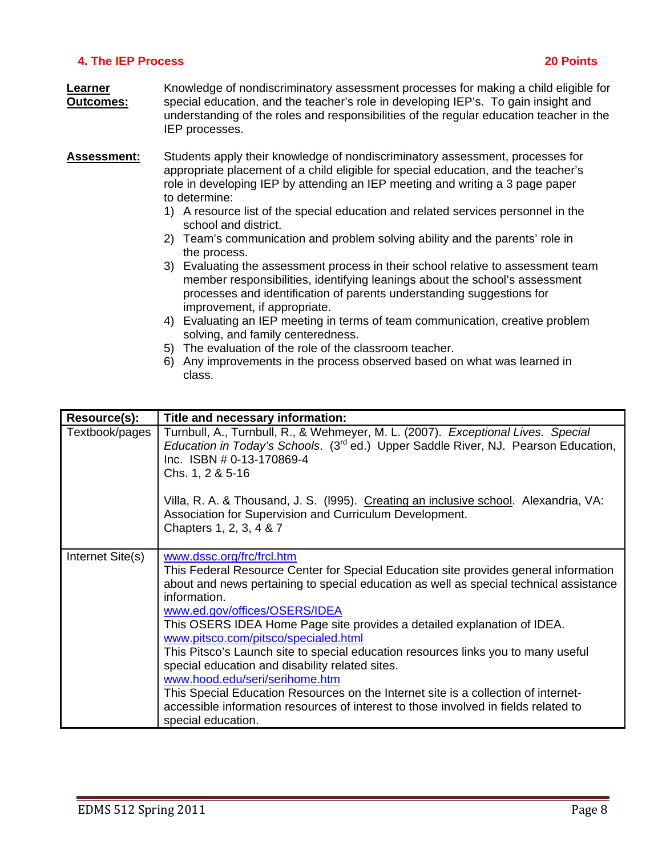# **4. The IEP Process 20 Points**

- **Learner** Knowledge of nondiscriminatory assessment processes for making a child eligible for **Outcomes:** special education, and the teacher's role in developing IEP's. To gain insight and understanding of the roles and responsibilities of the regular education teacher in the IEP processes.
- **Assessment:** Students apply their knowledge of nondiscriminatory assessment, processes for appropriate placement of a child eligible for special education, and the teacher's role in developing IEP by attending an IEP meeting and writing a 3 page paper to determine:
	- 1) A resource list of the special education and related services personnel in the school and district.
	- 2) Team's communication and problem solving ability and the parents' role in the process.
	- 3) Evaluating the assessment process in their school relative to assessment team member responsibilities, identifying leanings about the school's assessment processes and identification of parents understanding suggestions for improvement, if appropriate.
	- 4) Evaluating an IEP meeting in terms of team communication, creative problem solving, and family centeredness.
	- 5) The evaluation of the role of the classroom teacher.
	- 6) Any improvements in the process observed based on what was learned in class.

| Resource(s):     | Title and necessary information:                                                                                                                                                                                                                                                                                                                                                                                                                                                                                                                                                                                                                                                                                                                             |
|------------------|--------------------------------------------------------------------------------------------------------------------------------------------------------------------------------------------------------------------------------------------------------------------------------------------------------------------------------------------------------------------------------------------------------------------------------------------------------------------------------------------------------------------------------------------------------------------------------------------------------------------------------------------------------------------------------------------------------------------------------------------------------------|
| Textbook/pages   | Turnbull, A., Turnbull, R., & Wehmeyer, M. L. (2007). Exceptional Lives. Special<br><i>Education in Today's Schools.</i> (3 <sup>rd</sup> ed.) Upper Saddle River, NJ. Pearson Education,<br>Inc. ISBN # 0-13-170869-4<br>Chs. 1, 2 & 5-16                                                                                                                                                                                                                                                                                                                                                                                                                                                                                                                   |
|                  | Villa, R. A. & Thousand, J. S. (1995). Creating an inclusive school. Alexandria, VA:<br>Association for Supervision and Curriculum Development.<br>Chapters 1, 2, 3, 4 & 7                                                                                                                                                                                                                                                                                                                                                                                                                                                                                                                                                                                   |
| Internet Site(s) | www.dssc.org/frc/frcl.htm<br>This Federal Resource Center for Special Education site provides general information<br>about and news pertaining to special education as well as special technical assistance<br>information.<br>www.ed.gov/offices/OSERS/IDEA<br>This OSERS IDEA Home Page site provides a detailed explanation of IDEA.<br>www.pitsco.com/pitsco/specialed.html<br>This Pitsco's Launch site to special education resources links you to many useful<br>special education and disability related sites.<br>www.hood.edu/seri/serihome.htm<br>This Special Education Resources on the Internet site is a collection of internet-<br>accessible information resources of interest to those involved in fields related to<br>special education. |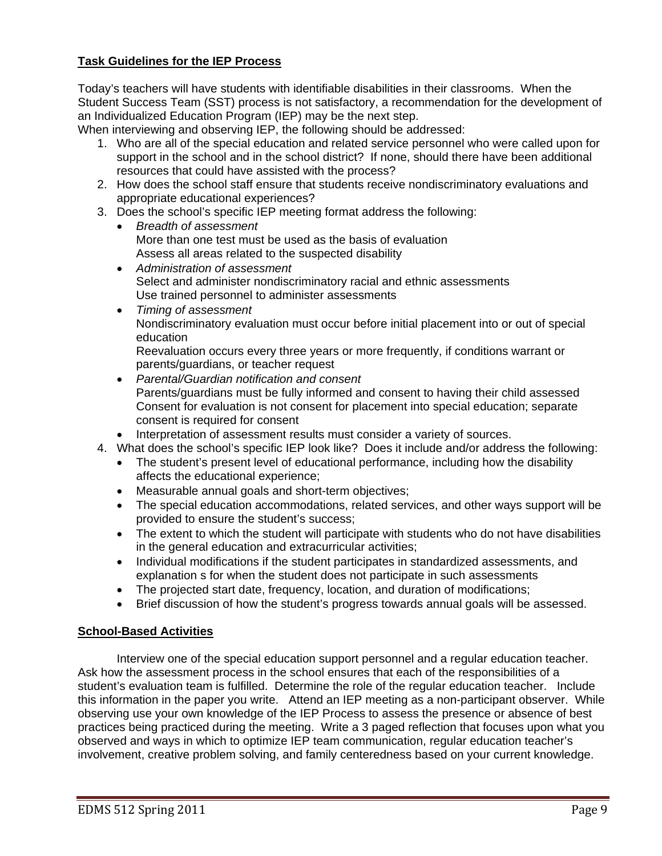# **Task Guidelines for the IEP Process**

Today's teachers will have students with identifiable disabilities in their classrooms. When the Student Success Team (SST) process is not satisfactory, a recommendation for the development of an Individualized Education Program (IEP) may be the next step.

When interviewing and observing IEP, the following should be addressed:

- 1. Who are all of the special education and related service personnel who were called upon for support in the school and in the school district? If none, should there have been additional resources that could have assisted with the process?
- 2. How does the school staff ensure that students receive nondiscriminatory evaluations and appropriate educational experiences?
- 3. Does the school's specific IEP meeting format address the following:
	- *Breadth of assessment*  More than one test must be used as the basis of evaluation Assess all areas related to the suspected disability
	- *Administration of assessment*  Select and administer nondiscriminatory racial and ethnic assessments Use trained personnel to administer assessments
	- *Timing of assessment*  Nondiscriminatory evaluation must occur before initial placement into or out of special education

Reevaluation occurs every three years or more frequently, if conditions warrant or parents/guardians, or teacher request

- *Parental/Guardian notification and consent*  Parents/guardians must be fully informed and consent to having their child assessed Consent for evaluation is not consent for placement into special education; separate consent is required for consent
- Interpretation of assessment results must consider a variety of sources.
- 4. What does the school's specific IEP look like? Does it include and/or address the following:
	- The student's present level of educational performance, including how the disability affects the educational experience;
	- Measurable annual goals and short-term objectives;
	- The special education accommodations, related services, and other ways support will be provided to ensure the student's success;
	- The extent to which the student will participate with students who do not have disabilities in the general education and extracurricular activities;
	- Individual modifications if the student participates in standardized assessments, and explanation s for when the student does not participate in such assessments
	- The projected start date, frequency, location, and duration of modifications;
	- Brief discussion of how the student's progress towards annual goals will be assessed.

# **School-Based Activities**

Interview one of the special education support personnel and a regular education teacher. Ask how the assessment process in the school ensures that each of the responsibilities of a student's evaluation team is fulfilled. Determine the role of the regular education teacher. Include this information in the paper you write. Attend an IEP meeting as a non-participant observer. While observing use your own knowledge of the IEP Process to assess the presence or absence of best practices being practiced during the meeting. Write a 3 paged reflection that focuses upon what you observed and ways in which to optimize IEP team communication, regular education teacher's involvement, creative problem solving, and family centeredness based on your current knowledge.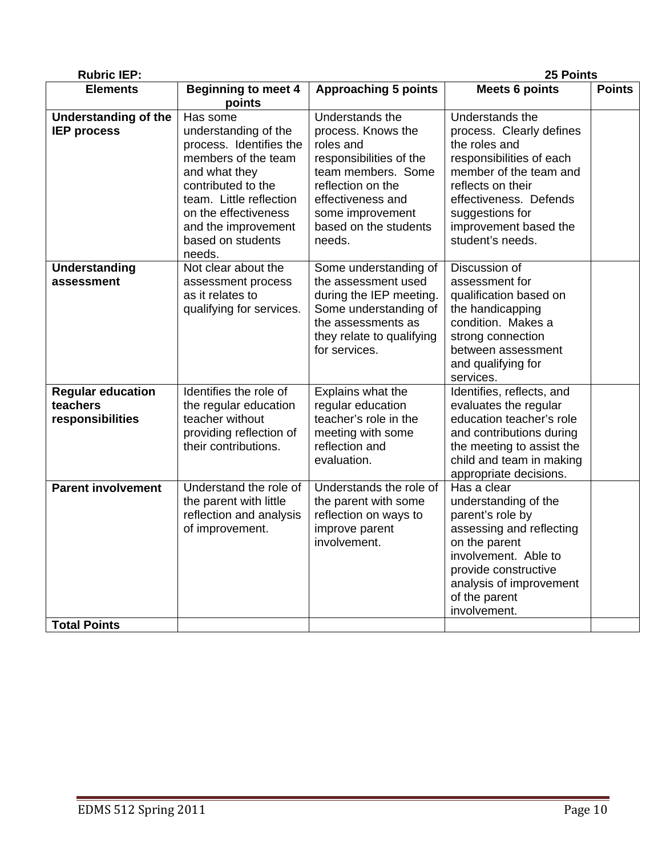| <b>Rubric IEP:</b>                                       |                                                                                                                                                                                                                                    |                                                                                                                                                                                                      | 25 Points                                                                                                                                                                                                                         |               |
|----------------------------------------------------------|------------------------------------------------------------------------------------------------------------------------------------------------------------------------------------------------------------------------------------|------------------------------------------------------------------------------------------------------------------------------------------------------------------------------------------------------|-----------------------------------------------------------------------------------------------------------------------------------------------------------------------------------------------------------------------------------|---------------|
| <b>Elements</b>                                          | <b>Beginning to meet 4</b><br>points                                                                                                                                                                                               | <b>Approaching 5 points</b>                                                                                                                                                                          | <b>Meets 6 points</b>                                                                                                                                                                                                             | <b>Points</b> |
| <b>Understanding of the</b><br><b>IEP process</b>        | Has some<br>understanding of the<br>process. Identifies the<br>members of the team<br>and what they<br>contributed to the<br>team. Little reflection<br>on the effectiveness<br>and the improvement<br>based on students<br>needs. | Understands the<br>process. Knows the<br>roles and<br>responsibilities of the<br>team members. Some<br>reflection on the<br>effectiveness and<br>some improvement<br>based on the students<br>needs. | Understands the<br>process. Clearly defines<br>the roles and<br>responsibilities of each<br>member of the team and<br>reflects on their<br>effectiveness. Defends<br>suggestions for<br>improvement based the<br>student's needs. |               |
| <b>Understanding</b><br>assessment                       | Not clear about the<br>assessment process<br>as it relates to<br>qualifying for services.                                                                                                                                          | Some understanding of<br>the assessment used<br>during the IEP meeting.<br>Some understanding of<br>the assessments as<br>they relate to qualifying<br>for services.                                 | Discussion of<br>assessment for<br>qualification based on<br>the handicapping<br>condition. Makes a<br>strong connection<br>between assessment<br>and qualifying for<br>services.                                                 |               |
| <b>Regular education</b><br>teachers<br>responsibilities | Identifies the role of<br>the regular education<br>teacher without<br>providing reflection of<br>their contributions.                                                                                                              | Explains what the<br>regular education<br>teacher's role in the<br>meeting with some<br>reflection and<br>evaluation.                                                                                | Identifies, reflects, and<br>evaluates the regular<br>education teacher's role<br>and contributions during<br>the meeting to assist the<br>child and team in making<br>appropriate decisions.                                     |               |
| <b>Parent involvement</b><br><b>Total Points</b>         | Understand the role of<br>the parent with little<br>reflection and analysis<br>of improvement.                                                                                                                                     | Understands the role of<br>the parent with some<br>reflection on ways to<br>improve parent<br>involvement.                                                                                           | Has a clear<br>understanding of the<br>parent's role by<br>assessing and reflecting<br>on the parent<br>involvement. Able to<br>provide constructive<br>analysis of improvement<br>of the parent<br>involvement.                  |               |
|                                                          |                                                                                                                                                                                                                                    |                                                                                                                                                                                                      |                                                                                                                                                                                                                                   |               |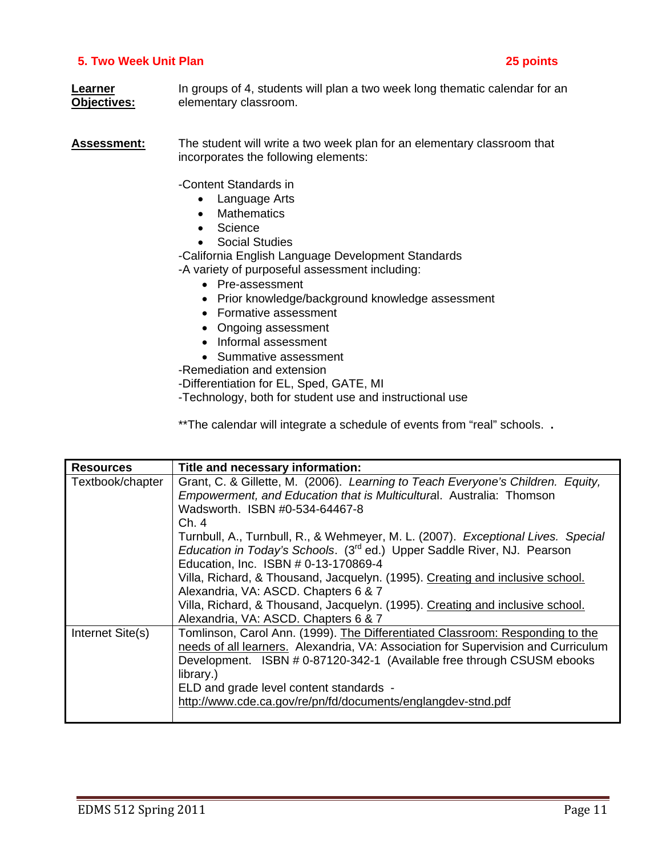# **5. Two Week Unit Plan 25 points**

**Learner In groups of 4, students will plan a two week long thematic calendar for an Objectives:** elementary classroom.

**Assessment:** The student will write a two week plan for an elementary classroom that incorporates the following elements:

-Content Standards in

- Language Arts
- Mathematics
- Science
- Social Studies

-California English Language Development Standards -A variety of purposeful assessment including:

- Pre-assessment
- Prior knowledge/background knowledge assessment
- Formative assessment
- Ongoing assessment
- Informal assessment
- Summative assessment

-Remediation and extension

-Differentiation for EL, Sped, GATE, MI

-Technology, both for student use and instructional use

\*\*The calendar will integrate a schedule of events from "real" schools. **.** 

| <b>Resources</b> | Title and necessary information:                                                    |  |  |
|------------------|-------------------------------------------------------------------------------------|--|--|
| Textbook/chapter | Grant, C. & Gillette, M. (2006). Learning to Teach Everyone's Children. Equity,     |  |  |
|                  | Empowerment, and Education that is Multicultural. Australia: Thomson                |  |  |
|                  | Wadsworth. ISBN #0-534-64467-8                                                      |  |  |
|                  | Ch.4                                                                                |  |  |
|                  | Turnbull, A., Turnbull, R., & Wehmeyer, M. L. (2007). Exceptional Lives. Special    |  |  |
|                  | Education in Today's Schools. (3 <sup>rd</sup> ed.) Upper Saddle River, NJ. Pearson |  |  |
|                  | Education, Inc. ISBN # 0-13-170869-4                                                |  |  |
|                  | Villa, Richard, & Thousand, Jacquelyn. (1995). Creating and inclusive school.       |  |  |
|                  | Alexandria, VA: ASCD. Chapters 6 & 7                                                |  |  |
|                  | Villa, Richard, & Thousand, Jacquelyn. (1995). Creating and inclusive school.       |  |  |
|                  | Alexandria, VA: ASCD. Chapters 6 & 7                                                |  |  |
| Internet Site(s) | Tomlinson, Carol Ann. (1999). The Differentiated Classroom: Responding to the       |  |  |
|                  | needs of all learners. Alexandria, VA: Association for Supervision and Curriculum   |  |  |
|                  | Development. ISBN # 0-87120-342-1 (Available free through CSUSM ebooks              |  |  |
|                  | library.)                                                                           |  |  |
|                  | ELD and grade level content standards -                                             |  |  |
|                  | http://www.cde.ca.gov/re/pn/fd/documents/englangdev-stnd.pdf                        |  |  |
|                  |                                                                                     |  |  |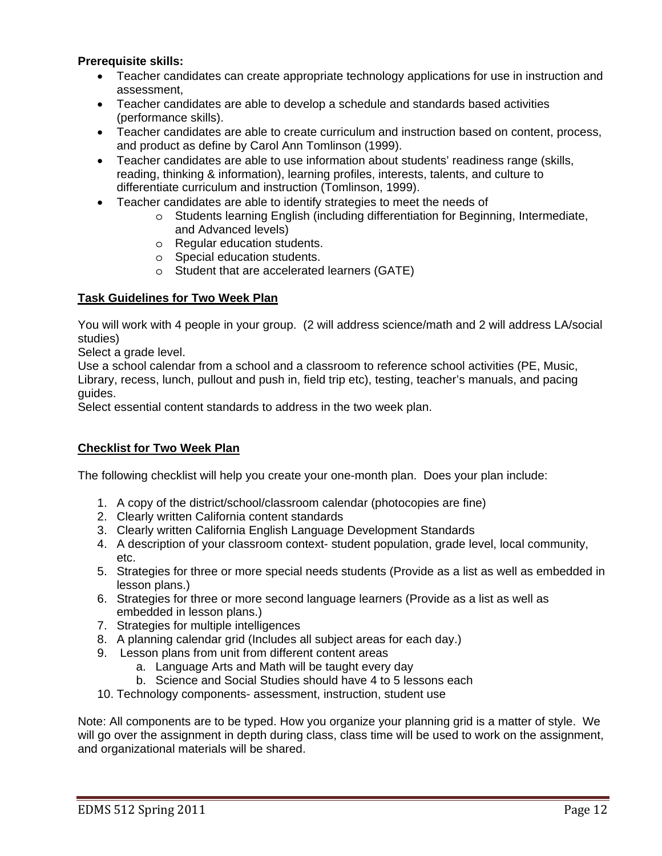# **Prerequisite skills:**

- Teacher candidates can create appropriate technology applications for use in instruction and assessment,
- Teacher candidates are able to develop a schedule and standards based activities (performance skills).
- Teacher candidates are able to create curriculum and instruction based on content, process, and product as define by Carol Ann Tomlinson (1999).
- Teacher candidates are able to use information about students' readiness range (skills, reading, thinking & information), learning profiles, interests, talents, and culture to differentiate curriculum and instruction (Tomlinson, 1999).
- Teacher candidates are able to identify strategies to meet the needs of
	- $\circ$  Students learning English (including differentiation for Beginning, Intermediate, and Advanced levels)
	- o Regular education students.
	- o Special education students.
	- o Student that are accelerated learners (GATE)

# **Task Guidelines for Two Week Plan**

You will work with 4 people in your group. (2 will address science/math and 2 will address LA/social studies)

Select a grade level.

Use a school calendar from a school and a classroom to reference school activities (PE, Music, Library, recess, lunch, pullout and push in, field trip etc), testing, teacher's manuals, and pacing guides.

Select essential content standards to address in the two week plan.

# **Checklist for Two Week Plan**

The following checklist will help you create your one-month plan. Does your plan include:

- 1. A copy of the district/school/classroom calendar (photocopies are fine)
- 2. Clearly written California content standards
- 3. Clearly written California English Language Development Standards
- 4. A description of your classroom context- student population, grade level, local community, etc.
- 5. Strategies for three or more special needs students (Provide as a list as well as embedded in lesson plans.)
- 6. Strategies for three or more second language learners (Provide as a list as well as embedded in lesson plans.)
- 7. Strategies for multiple intelligences
- 8. A planning calendar grid (Includes all subject areas for each day.)
- 9. Lesson plans from unit from different content areas
	- a. Language Arts and Math will be taught every day
	- b. Science and Social Studies should have 4 to 5 lessons each
- 10. Technology components- assessment, instruction, student use

 and organizational materials will be shared. Note: All components are to be typed. How you organize your planning grid is a matter of style. We will go over the assignment in depth during class, class time will be used to work on the assignment,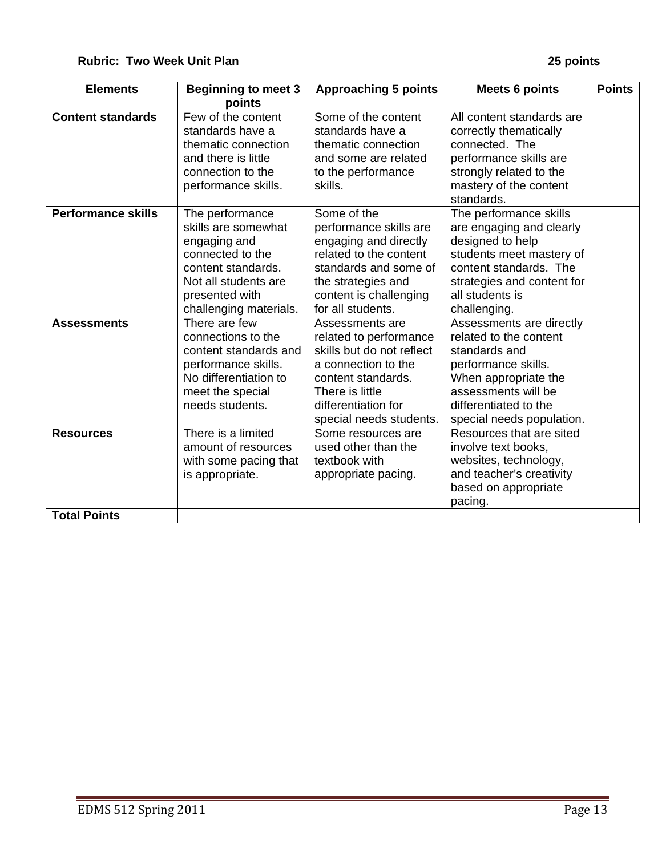| <b>Elements</b>           | <b>Beginning to meet 3</b><br>points                                                                                                                                 | <b>Approaching 5 points</b>                                                                                                                                                              | <b>Meets 6 points</b>                                                                                                                                                                           | <b>Points</b> |
|---------------------------|----------------------------------------------------------------------------------------------------------------------------------------------------------------------|------------------------------------------------------------------------------------------------------------------------------------------------------------------------------------------|-------------------------------------------------------------------------------------------------------------------------------------------------------------------------------------------------|---------------|
| <b>Content standards</b>  | Few of the content<br>standards have a<br>thematic connection<br>and there is little<br>connection to the<br>performance skills.                                     | Some of the content<br>standards have a<br>thematic connection<br>and some are related<br>to the performance<br>skills.                                                                  | All content standards are<br>correctly thematically<br>connected. The<br>performance skills are<br>strongly related to the<br>mastery of the content<br>standards.                              |               |
| <b>Performance skills</b> | The performance<br>skills are somewhat<br>engaging and<br>connected to the<br>content standards.<br>Not all students are<br>presented with<br>challenging materials. | Some of the<br>performance skills are<br>engaging and directly<br>related to the content<br>standards and some of<br>the strategies and<br>content is challenging<br>for all students.   | The performance skills<br>are engaging and clearly<br>designed to help<br>students meet mastery of<br>content standards. The<br>strategies and content for<br>all students is<br>challenging.   |               |
| <b>Assessments</b>        | There are few<br>connections to the<br>content standards and<br>performance skills.<br>No differentiation to<br>meet the special<br>needs students.                  | Assessments are<br>related to performance<br>skills but do not reflect<br>a connection to the<br>content standards.<br>There is little<br>differentiation for<br>special needs students. | Assessments are directly<br>related to the content<br>standards and<br>performance skills.<br>When appropriate the<br>assessments will be<br>differentiated to the<br>special needs population. |               |
| <b>Resources</b>          | There is a limited<br>amount of resources<br>with some pacing that<br>is appropriate.                                                                                | Some resources are<br>used other than the<br>textbook with<br>appropriate pacing.                                                                                                        | Resources that are sited<br>involve text books,<br>websites, technology,<br>and teacher's creativity<br>based on appropriate<br>pacing.                                                         |               |
| <b>Total Points</b>       |                                                                                                                                                                      |                                                                                                                                                                                          |                                                                                                                                                                                                 |               |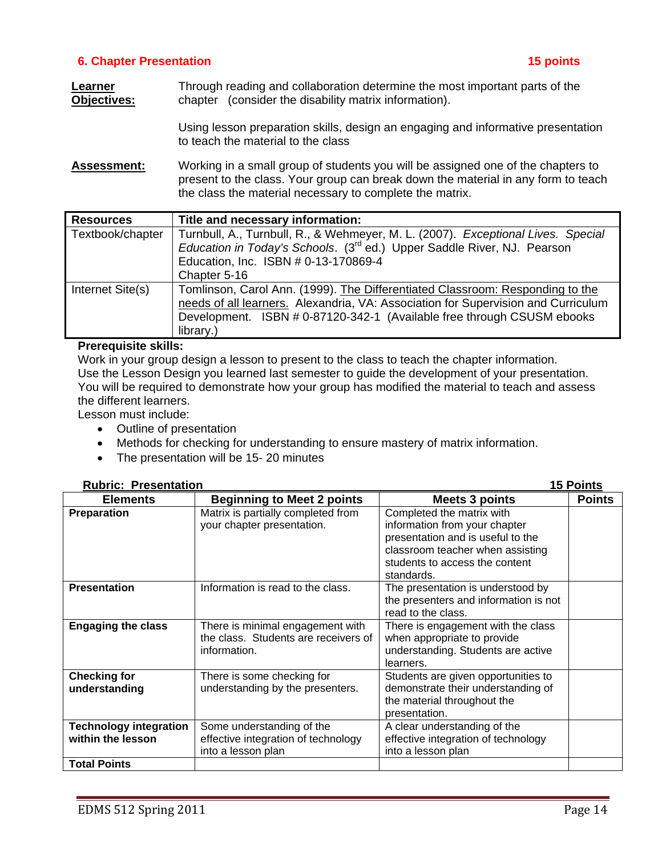# **6. Chapter Presentation 15 points**

**Learner** Through reading and collaboration determine the most important parts of the **Objectives:** chapter (consider the disability matrix information).

> Using lesson preparation skills, design an engaging and informative presentation to teach the material to the class

**Assessment:** Working in a small group of students you will be assigned one of the chapters to present to the class. Your group can break down the material in any form to teach the class the material necessary to complete the matrix.

| <b>Resources</b> | Title and necessary information:                                                    |  |  |
|------------------|-------------------------------------------------------------------------------------|--|--|
| Textbook/chapter | Turnbull, A., Turnbull, R., & Wehmeyer, M. L. (2007). Exceptional Lives. Special    |  |  |
|                  | Education in Today's Schools. (3 <sup>rd</sup> ed.) Upper Saddle River, NJ. Pearson |  |  |
|                  | Education, Inc. ISBN # 0-13-170869-4                                                |  |  |
|                  | Chapter 5-16                                                                        |  |  |
| Internet Site(s) | Tomlinson, Carol Ann. (1999). The Differentiated Classroom: Responding to the       |  |  |
|                  | needs of all learners. Alexandria, VA: Association for Supervision and Curriculum   |  |  |
|                  | Development. ISBN # 0-87120-342-1 (Available free through CSUSM ebooks              |  |  |
|                  | library.)                                                                           |  |  |

## **Prerequisite skills:**

Work in your group design a lesson to present to the class to teach the chapter information. Use the Lesson Design you learned last semester to guide the development of your presentation. You will be required to demonstrate how your group has modified the material to teach and assess the different learners.

Lesson must include:

- Outline of presentation
- Methods for checking for understanding to ensure mastery of matrix information.
- The presentation will be 15-20 minutes

| <b>Rubric: Presentation</b> |
|-----------------------------|
|-----------------------------|

| <b>Rubric: Presentation</b>                        |                                                                                          | 15 Points                                                                                                                                                                           |               |  |
|----------------------------------------------------|------------------------------------------------------------------------------------------|-------------------------------------------------------------------------------------------------------------------------------------------------------------------------------------|---------------|--|
| <b>Elements</b>                                    | <b>Beginning to Meet 2 points</b>                                                        | <b>Meets 3 points</b>                                                                                                                                                               | <b>Points</b> |  |
| Preparation                                        | Matrix is partially completed from<br>your chapter presentation.                         | Completed the matrix with<br>information from your chapter<br>presentation and is useful to the<br>classroom teacher when assisting<br>students to access the content<br>standards. |               |  |
| <b>Presentation</b>                                | Information is read to the class.                                                        | The presentation is understood by<br>the presenters and information is not<br>read to the class.                                                                                    |               |  |
| <b>Engaging the class</b>                          | There is minimal engagement with<br>the class. Students are receivers of<br>information. | There is engagement with the class<br>when appropriate to provide<br>understanding. Students are active<br>learners.                                                                |               |  |
| <b>Checking for</b><br>understanding               | There is some checking for<br>understanding by the presenters.                           | Students are given opportunities to<br>demonstrate their understanding of<br>the material throughout the<br>presentation.                                                           |               |  |
| <b>Technology integration</b><br>within the lesson | Some understanding of the<br>effective integration of technology<br>into a lesson plan   | A clear understanding of the<br>effective integration of technology<br>into a lesson plan                                                                                           |               |  |
| <b>Total Points</b>                                |                                                                                          |                                                                                                                                                                                     |               |  |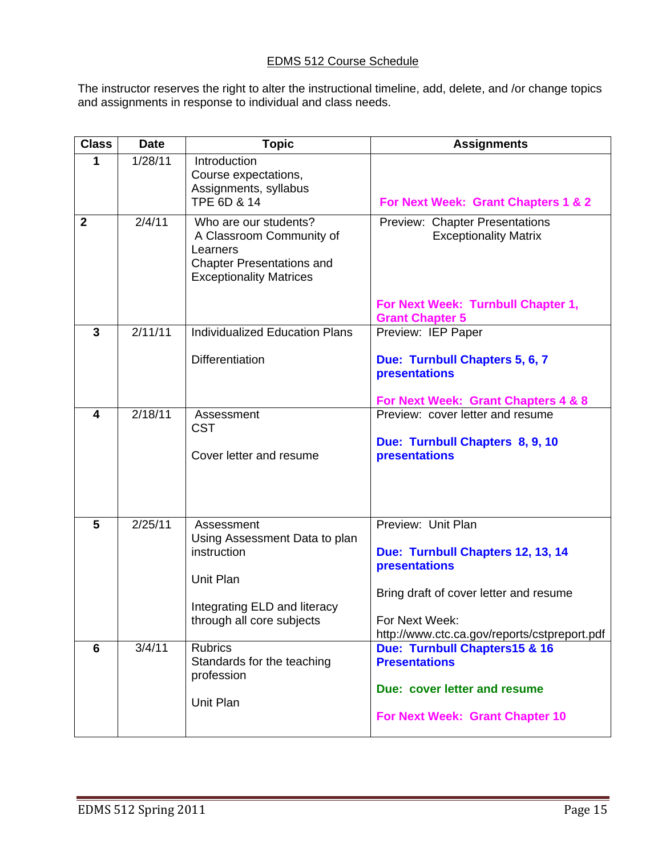# EDMS 512 Course Schedule

The instructor reserves the right to alter the instructional timeline, add, delete, and /or change topics and assignments in response to individual and class needs.

| <b>Class</b>   | <b>Date</b>          | <b>Topic</b>                                                                                                                         | <b>Assignments</b>                                                                                                                                                                   |
|----------------|----------------------|--------------------------------------------------------------------------------------------------------------------------------------|--------------------------------------------------------------------------------------------------------------------------------------------------------------------------------------|
| 1              | 1/28/11              | Introduction<br>Course expectations,<br>Assignments, syllabus<br>TPE 6D & 14                                                         | For Next Week: Grant Chapters 1 & 2                                                                                                                                                  |
| $\overline{2}$ | 2/4/11               | Who are our students?<br>A Classroom Community of<br>Learners<br><b>Chapter Presentations and</b><br><b>Exceptionality Matrices</b>  | Preview: Chapter Presentations<br><b>Exceptionality Matrix</b><br>For Next Week: Turnbull Chapter 1,                                                                                 |
| $\overline{3}$ | 2/11/11              | <b>Individualized Education Plans</b>                                                                                                | <b>Grant Chapter 5</b><br>Preview: IEP Paper                                                                                                                                         |
|                |                      |                                                                                                                                      |                                                                                                                                                                                      |
|                |                      | <b>Differentiation</b>                                                                                                               | Due: Turnbull Chapters 5, 6, 7<br>presentations                                                                                                                                      |
|                |                      |                                                                                                                                      | For Next Week: Grant Chapters 4 & 8                                                                                                                                                  |
| 4              | $\overline{2}/18/11$ | Assessment<br><b>CST</b><br>Cover letter and resume                                                                                  | Preview: cover letter and resume<br>Due: Turnbull Chapters 8, 9, 10<br>presentations                                                                                                 |
| 5              | 2/25/11              | Assessment<br>Using Assessment Data to plan<br>instruction<br>Unit Plan<br>Integrating ELD and literacy<br>through all core subjects | Preview: Unit Plan<br>Due: Turnbull Chapters 12, 13, 14<br>presentations<br>Bring draft of cover letter and resume<br>For Next Week:<br>http://www.ctc.ca.gov/reports/cstpreport.pdf |
| 6              | 3/4/11               | <b>Rubrics</b><br>Standards for the teaching<br>profession<br>Unit Plan                                                              | Due: Turnbull Chapters15 & 16<br><b>Presentations</b><br>Due: cover letter and resume<br>For Next Week: Grant Chapter 10                                                             |